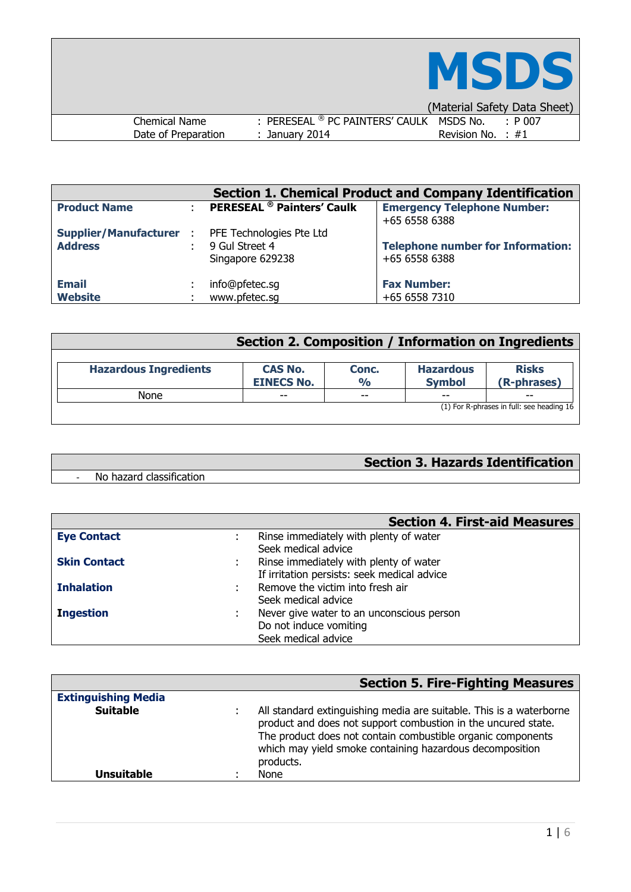

| (Material Safety Data Sheet)                                 |             |
|--------------------------------------------------------------|-------------|
| : PERESEAL ® PC PAINTERS' CAULK MSDS No.<br>Chemical Name    | $\pm$ P 007 |
| Date of Preparation<br>Revision No. $\pm$ #1<br>January 2014 |             |

| <b>Section 1. Chemical Product and Company Identification</b> |  |                                   |                                                     |  |  |
|---------------------------------------------------------------|--|-----------------------------------|-----------------------------------------------------|--|--|
| <b>Product Name</b>                                           |  | <b>PERESEAL</b> ® Painters' Caulk | <b>Emergency Telephone Number:</b><br>+65 6558 6388 |  |  |
| <b>Supplier/Manufacturer :</b> PFE Technologies Pte Ltd       |  | 9 Gul Street 4                    | <b>Telephone number for Information:</b>            |  |  |
| <b>Address</b>                                                |  | Singapore 629238                  | +65 6558 6388                                       |  |  |
| <b>Email</b>                                                  |  | info@pfetec.sg                    | <b>Fax Number:</b>                                  |  |  |
| <b>Website</b>                                                |  | www.pfetec.sq                     | +65 6558 7310                                       |  |  |

|                              | Section 2. Composition / Information on Ingredients |                        |                                   |                                           |
|------------------------------|-----------------------------------------------------|------------------------|-----------------------------------|-------------------------------------------|
| <b>Hazardous Ingredients</b> | <b>CAS No.</b><br><b>EINECS No.</b>                 | Conc.<br>$\frac{1}{2}$ | <b>Hazardous</b><br><b>Symbol</b> | <b>Risks</b><br>(R-phrases)               |
| None                         | $-$                                                 | $-$                    | $- -$                             | $- -$                                     |
|                              |                                                     |                        |                                   | (1) For R-phrases in full: see heading 16 |

# **Section 3. Hazards Identification**

- No hazard classification

|                     | <b>Section 4. First-aid Measures</b>                   |
|---------------------|--------------------------------------------------------|
| <b>Eye Contact</b>  | Rinse immediately with plenty of water                 |
|                     | Seek medical advice                                    |
| <b>Skin Contact</b> | Rinse immediately with plenty of water<br>$\mathbf{r}$ |
|                     | If irritation persists: seek medical advice            |
| <b>Inhalation</b>   | Remove the victim into fresh air                       |
|                     | Seek medical advice                                    |
| <b>Ingestion</b>    | Never give water to an unconscious person              |
|                     | Do not induce vomiting                                 |
|                     | Seek medical advice                                    |

|                            | <b>Section 5. Fire-Fighting Measures</b>                                                                                                                                                                                                                                     |
|----------------------------|------------------------------------------------------------------------------------------------------------------------------------------------------------------------------------------------------------------------------------------------------------------------------|
| <b>Extinguishing Media</b> |                                                                                                                                                                                                                                                                              |
| <b>Suitable</b>            | All standard extinguishing media are suitable. This is a waterborne<br>product and does not support combustion in the uncured state.<br>The product does not contain combustible organic components<br>which may yield smoke containing hazardous decomposition<br>products. |
| <b>Unsuitable</b>          | None                                                                                                                                                                                                                                                                         |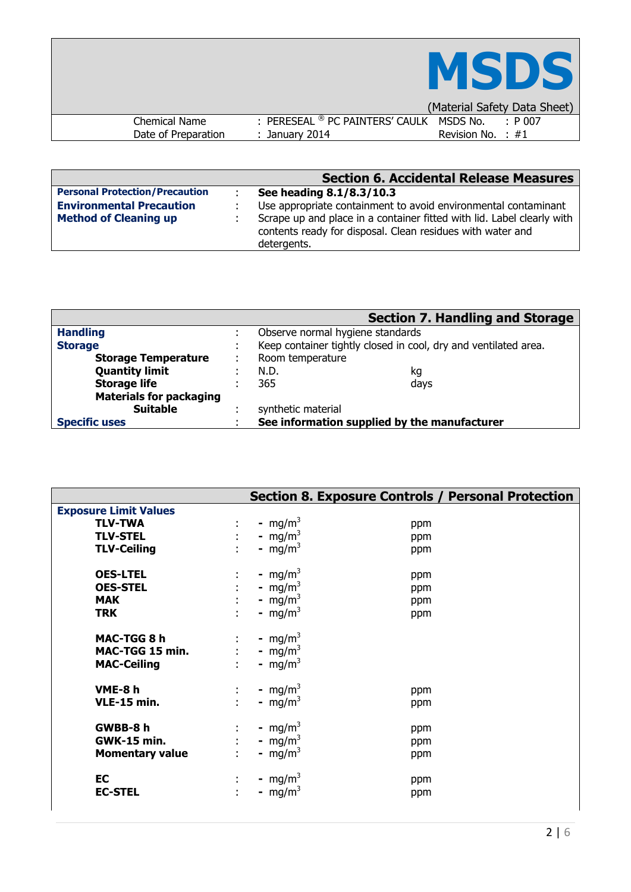|                      |                                                     | <b>MSDS</b>                  |
|----------------------|-----------------------------------------------------|------------------------------|
|                      |                                                     | (Material Safety Data Sheet) |
| <b>Chemical Name</b> | : PERESEAL <sup>®</sup> PC PAINTERS' CAULK MSDS No. | $\pm$ P 007                  |
| Date of Preparation  | $:$ January 2014                                    | Revision No. $\div$ #1       |

|                                       | <b>Section 6. Accidental Release Measures</b>                                                                                                       |
|---------------------------------------|-----------------------------------------------------------------------------------------------------------------------------------------------------|
| <b>Personal Protection/Precaution</b> | See heading 8.1/8.3/10.3                                                                                                                            |
| <b>Environmental Precaution</b>       | Use appropriate containment to avoid environmental contaminant                                                                                      |
| <b>Method of Cleaning up</b>          | Scrape up and place in a container fitted with lid. Label clearly with<br>contents ready for disposal. Clean residues with water and<br>detergents. |

|                                | <b>Section 7. Handling and Storage</b>                          |  |
|--------------------------------|-----------------------------------------------------------------|--|
| <b>Handling</b>                | Observe normal hygiene standards                                |  |
| <b>Storage</b>                 | Keep container tightly closed in cool, dry and ventilated area. |  |
| <b>Storage Temperature</b>     | Room temperature                                                |  |
| <b>Quantity limit</b>          | N.D.<br>kg                                                      |  |
| <b>Storage life</b>            | 365<br>days                                                     |  |
| <b>Materials for packaging</b> |                                                                 |  |
| <b>Suitable</b>                | synthetic material                                              |  |
| <b>Specific uses</b>           | See information supplied by the manufacturer                    |  |

|                                                          |                                                                                                                 | <b>Section 8. Exposure Controls / Personal Protection</b> |  |
|----------------------------------------------------------|-----------------------------------------------------------------------------------------------------------------|-----------------------------------------------------------|--|
| <b>Exposure Limit Values</b>                             |                                                                                                                 |                                                           |  |
| <b>TLV-TWA</b>                                           | - mg/m <sup>3</sup><br>$\mathbb{Z}^n$ .                                                                         | ppm                                                       |  |
| <b>TLV-STEL</b>                                          | - mg/m <sup>3</sup><br>$\mathcal{L}^{\text{max}}$                                                               | ppm                                                       |  |
| <b>TLV-Ceiling</b>                                       | - mg/m <sup>3</sup><br>$\mathcal{L}$                                                                            | ppm                                                       |  |
| <b>OES-LTEL</b>                                          | - mg/m <sup>3</sup>                                                                                             | ppm                                                       |  |
| <b>OES-STEL</b>                                          | $\mathbb{R}^{n+1}$<br>- mg/m <sup>3</sup>                                                                       | ppm                                                       |  |
| <b>MAK</b>                                               | - mg/m <sup>3</sup>                                                                                             | ppm                                                       |  |
| <b>TRK</b>                                               | - mg/m <sup>3</sup><br>÷.                                                                                       | ppm                                                       |  |
| MAC-TGG 8 h<br>MAC-TGG 15 min.<br><b>MAC-Ceiling</b>     | - mg/m <sup>3</sup><br>$\mathbb{Z}^n$ .<br>$\mathcal{L}^{\text{max}}$<br>- mg/m <sup>3</sup><br>- $mg/m^3$      |                                                           |  |
| VME-8h<br>VLE-15 min.                                    | - mg/m <sup>3</sup><br>$\mathbb{Z}^{\times}$<br>$\mathbf{L}$<br>- mg/m <sup>3</sup>                             | ppm<br>ppm                                                |  |
| GWBB-8 h<br><b>GWK-15 min.</b><br><b>Momentary value</b> | - mg/m <sup>3</sup><br>$\mathbb{Z}^n$<br>- mg/m <sup>3</sup><br>$\mathbb{R}^{n+1}$<br>- mg/m <sup>3</sup><br>÷. | ppm<br>ppm<br>ppm                                         |  |
| EC<br><b>EC-STEL</b>                                     | - mg/m <sup>3</sup><br>- $mg/m^3$<br>÷.                                                                         | ppm<br>ppm                                                |  |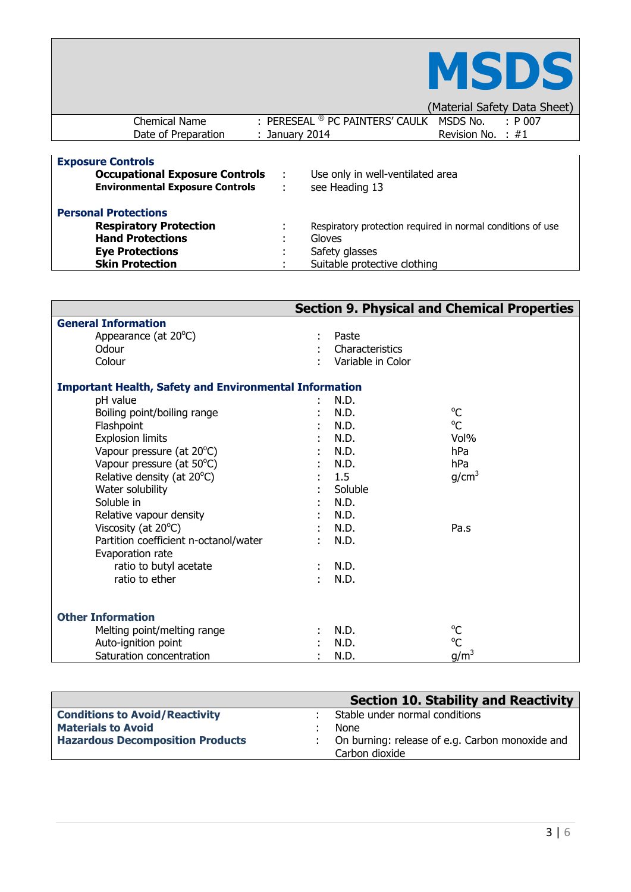

| (Material Safety Data Sheet) |
|------------------------------|
|------------------------------|

|                          |                                          | .                     |
|--------------------------|------------------------------------------|-----------------------|
| Chemical Name            | : PERESEAL ® PC PAINTERS' CAULK MSDS No. | : P 007               |
| Date of Preparation      | January 2014                             | Revision No. $\pm$ #1 |
|                          |                                          |                       |
| <b>Exposure Controls</b> |                                          |                       |

| <b>EVARAGE CALLE AIR</b><br><b>Occupational Exposure Controls</b><br><b>Environmental Exposure Controls</b> | $\sim$<br>$\mathcal{L}$ | Use only in well-ventilated area<br>see Heading 13          |
|-------------------------------------------------------------------------------------------------------------|-------------------------|-------------------------------------------------------------|
| <b>Personal Protections</b>                                                                                 |                         |                                                             |
| <b>Respiratory Protection</b>                                                                               |                         | Respiratory protection required in normal conditions of use |
| <b>Hand Protections</b>                                                                                     | ٠                       | Gloves                                                      |
| <b>Eye Protections</b>                                                                                      |                         | Safety glasses                                              |
| <b>Skin Protection</b>                                                                                      |                         | Suitable protective clothing                                |

|                                                               |                   | <b>Section 9. Physical and Chemical Properties</b> |
|---------------------------------------------------------------|-------------------|----------------------------------------------------|
| <b>General Information</b>                                    |                   |                                                    |
| Appearance (at 20°C)                                          | Paste             |                                                    |
| Odour                                                         | Characteristics   |                                                    |
| Colour                                                        | Variable in Color |                                                    |
| <b>Important Health, Safety and Environmental Information</b> |                   |                                                    |
| pH value                                                      | N.D.              |                                                    |
| Boiling point/boiling range                                   | N.D.              | $^{\circ}C$                                        |
| Flashpoint                                                    | N.D.              | $^{\circ}C$                                        |
| <b>Explosion limits</b>                                       | N.D.              | Vol%                                               |
| Vapour pressure (at 20°C)                                     | N.D.              | hPa                                                |
| Vapour pressure (at 50°C)                                     | N.D.              | hPa                                                |
| Relative density (at 20°C)                                    | 1.5               | g/cm <sup>3</sup>                                  |
| Water solubility                                              | Soluble           |                                                    |
| Soluble in                                                    | N.D.              |                                                    |
| Relative vapour density                                       | N.D.              |                                                    |
| Viscosity (at $20^{\circ}$ C)                                 | N.D.              | Pa.s                                               |
| Partition coefficient n-octanol/water                         | N.D.              |                                                    |
| Evaporation rate                                              |                   |                                                    |
| ratio to butyl acetate                                        | N.D.              |                                                    |
| ratio to ether                                                | N.D.              |                                                    |
| <b>Other Information</b>                                      |                   |                                                    |
| Melting point/melting range                                   | N.D.              | $^{\circ}C$                                        |
| Auto-ignition point                                           | N.D.              | $\rm ^{o}C$                                        |
| Saturation concentration                                      | N.D.              | $g/m^3$                                            |

|                                         | Section 10. Stability and Reactivity              |
|-----------------------------------------|---------------------------------------------------|
| <b>Conditions to Avoid/Reactivity</b>   | Stable under normal conditions                    |
| <b>Materials to Avoid</b>               | None                                              |
| <b>Hazardous Decomposition Products</b> | : On burning: release of e.g. Carbon monoxide and |
|                                         | Carbon dioxide                                    |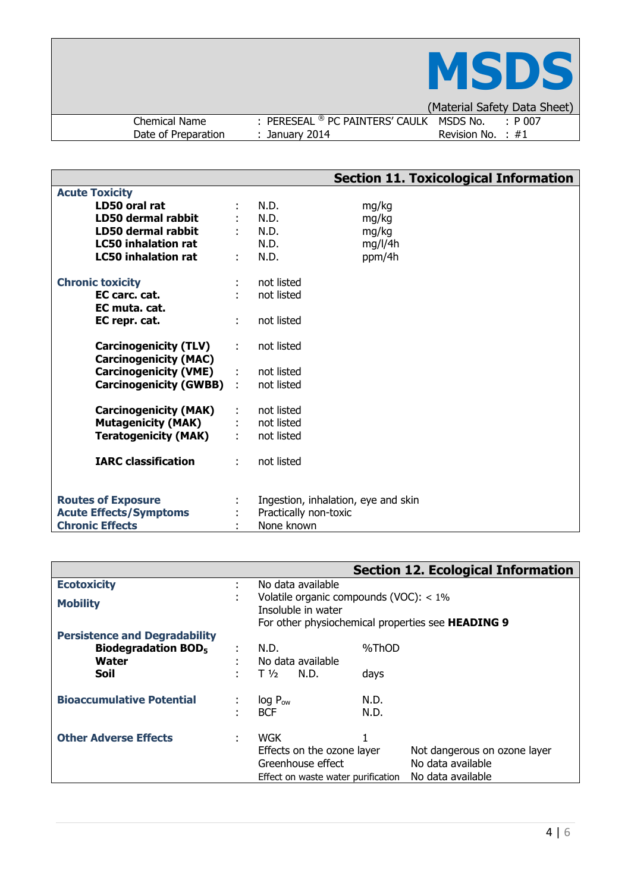

Chemical Name : PERESEAL <sup>®</sup> PC PAINTERS' CAULK MSDS No. : P 00<br>Date of Preparation : January 2014 Revision No. : #1 Date of Preparation

(Material Safety Data Sheet)<br>< MSDS No. : P 007

|                                                              |    |                                     |         | <b>Section 11. Toxicological Information</b> |
|--------------------------------------------------------------|----|-------------------------------------|---------|----------------------------------------------|
| <b>Acute Toxicity</b>                                        |    |                                     |         |                                              |
| LD50 oral rat                                                |    | N.D.                                | mg/kg   |                                              |
| LD50 dermal rabbit                                           |    | N.D.                                | mg/kg   |                                              |
| LD50 dermal rabbit                                           |    | $:$ N.D.                            | mg/kg   |                                              |
| <b>LC50 inhalation rat</b>                                   |    | N.D.                                | mg/l/4h |                                              |
| <b>LC50 inhalation rat</b>                                   | ÷  | N.D.                                | ppm/4h  |                                              |
| <b>Chronic toxicity</b>                                      |    | not listed                          |         |                                              |
| EC carc. cat.<br>EC muta. cat.                               |    | not listed                          |         |                                              |
| EC repr. cat.                                                | ÷  | not listed                          |         |                                              |
| <b>Carcinogenicity (TLV)</b><br><b>Carcinogenicity (MAC)</b> | ÷. | not listed                          |         |                                              |
| <b>Carcinogenicity (VME)</b>                                 | ÷. | not listed                          |         |                                              |
| <b>Carcinogenicity (GWBB)</b>                                |    | not listed                          |         |                                              |
| <b>Carcinogenicity (MAK)</b>                                 |    | : not listed                        |         |                                              |
| <b>Mutagenicity (MAK)</b>                                    |    | : not listed                        |         |                                              |
| <b>Teratogenicity (MAK)</b>                                  |    | : not listed                        |         |                                              |
| <b>IARC classification</b>                                   | ÷  | not listed                          |         |                                              |
| <b>Routes of Exposure</b>                                    |    | Ingestion, inhalation, eye and skin |         |                                              |
| <b>Acute Effects/Symptoms</b>                                |    | Practically non-toxic               |         |                                              |
| <b>Chronic Effects</b>                                       |    | None known                          |         |                                              |

|                                                |                                                                                                                            | <b>Section 12. Ecological Information</b> |  |
|------------------------------------------------|----------------------------------------------------------------------------------------------------------------------------|-------------------------------------------|--|
| <b>Ecotoxicity</b>                             | No data available                                                                                                          |                                           |  |
| <b>Mobility</b>                                | Volatile organic compounds (VOC): $<$ 1%<br>Insoluble in water<br>For other physiochemical properties see <b>HEADING 9</b> |                                           |  |
| <b>Persistence and Degradability</b>           |                                                                                                                            |                                           |  |
| <b>Biodegradation BOD<sub>5</sub></b><br>Water | N.D.<br>No data available                                                                                                  | %ThOD                                     |  |
| <b>Soil</b>                                    | $T\frac{1}{2}$<br>N.D.<br>days                                                                                             |                                           |  |
| <b>Bioaccumulative Potential</b>               | $log P_{ow}$<br>N.D.                                                                                                       |                                           |  |
|                                                | N.D.<br><b>BCF</b>                                                                                                         |                                           |  |
| <b>Other Adverse Effects</b>                   | <b>WGK</b>                                                                                                                 |                                           |  |
|                                                | Effects on the ozone layer                                                                                                 | Not dangerous on ozone layer              |  |
|                                                | Greenhouse effect                                                                                                          | No data available                         |  |
|                                                | Effect on waste water purification                                                                                         | No data available                         |  |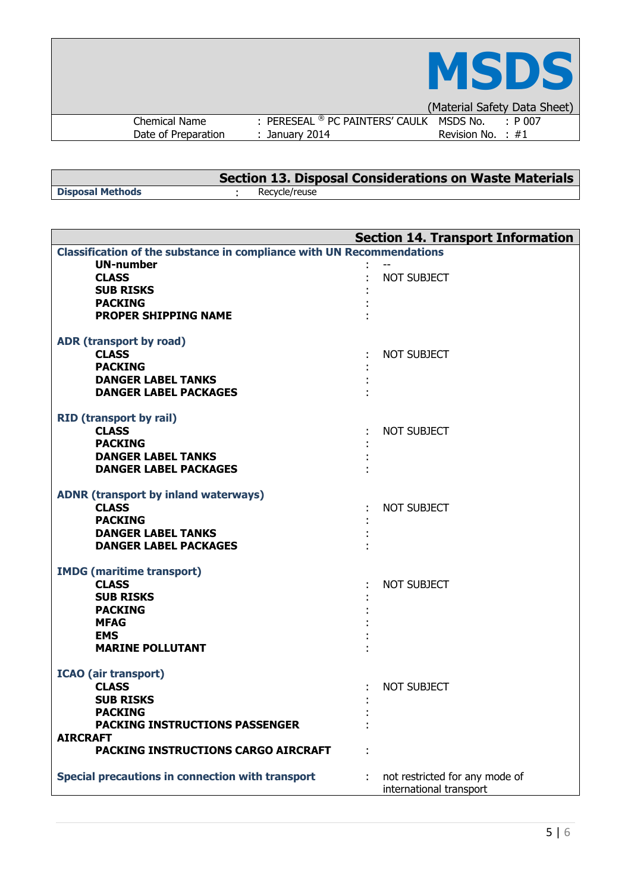|                     |                                          | <b>MSDS</b>                  |
|---------------------|------------------------------------------|------------------------------|
|                     |                                          | (Material Safety Data Sheet) |
| Chemical Name       | : PERESEAL ® PC PAINTERS' CAULK MSDS No. | $\cdot$ P 007                |
| Date of Preparation | $:$ January 2014                         | Revision No. : $#1$          |

 $\overline{1}$ 

|                         | Section 13. Disposal Considerations on Waste Materials |
|-------------------------|--------------------------------------------------------|
| <b>Disposal Methods</b> | Recycle/reuse                                          |

| <b>Section 14. Transport Information</b>                                     |                                |  |  |  |  |
|------------------------------------------------------------------------------|--------------------------------|--|--|--|--|
| <b>Classification of the substance in compliance with UN Recommendations</b> |                                |  |  |  |  |
| <b>UN-number</b>                                                             |                                |  |  |  |  |
| <b>CLASS</b>                                                                 | <b>NOT SUBJECT</b>             |  |  |  |  |
| <b>SUB RISKS</b>                                                             |                                |  |  |  |  |
| <b>PACKING</b>                                                               |                                |  |  |  |  |
| <b>PROPER SHIPPING NAME</b>                                                  |                                |  |  |  |  |
|                                                                              |                                |  |  |  |  |
| ADR (transport by road)                                                      |                                |  |  |  |  |
| <b>CLASS</b>                                                                 | <b>NOT SUBJECT</b>             |  |  |  |  |
| <b>PACKING</b>                                                               |                                |  |  |  |  |
| <b>DANGER LABEL TANKS</b>                                                    |                                |  |  |  |  |
| <b>DANGER LABEL PACKAGES</b>                                                 |                                |  |  |  |  |
|                                                                              |                                |  |  |  |  |
| <b>RID</b> (transport by rail)                                               |                                |  |  |  |  |
| <b>CLASS</b>                                                                 | <b>NOT SUBJECT</b>             |  |  |  |  |
| <b>PACKING</b>                                                               |                                |  |  |  |  |
| <b>DANGER LABEL TANKS</b>                                                    |                                |  |  |  |  |
| <b>DANGER LABEL PACKAGES</b>                                                 |                                |  |  |  |  |
|                                                                              |                                |  |  |  |  |
| <b>ADNR (transport by inland waterways)</b><br><b>CLASS</b>                  |                                |  |  |  |  |
|                                                                              | <b>NOT SUBJECT</b>             |  |  |  |  |
| <b>PACKING</b>                                                               |                                |  |  |  |  |
| <b>DANGER LABEL TANKS</b>                                                    |                                |  |  |  |  |
| <b>DANGER LABEL PACKAGES</b>                                                 |                                |  |  |  |  |
| <b>IMDG</b> (maritime transport)                                             |                                |  |  |  |  |
| <b>CLASS</b>                                                                 | <b>NOT SUBJECT</b>             |  |  |  |  |
| <b>SUB RISKS</b>                                                             |                                |  |  |  |  |
| <b>PACKING</b>                                                               |                                |  |  |  |  |
| <b>MFAG</b>                                                                  |                                |  |  |  |  |
| <b>EMS</b>                                                                   |                                |  |  |  |  |
| <b>MARINE POLLUTANT</b>                                                      |                                |  |  |  |  |
|                                                                              |                                |  |  |  |  |
| <b>ICAO</b> (air transport)                                                  |                                |  |  |  |  |
| <b>CLASS</b>                                                                 | NOT SUBJECT                    |  |  |  |  |
| <b>SUB RISKS</b>                                                             |                                |  |  |  |  |
| <b>PACKING</b>                                                               |                                |  |  |  |  |
| <b>PACKING INSTRUCTIONS PASSENGER</b>                                        |                                |  |  |  |  |
| <b>AIRCRAFT</b>                                                              |                                |  |  |  |  |
| <b>PACKING INSTRUCTIONS CARGO AIRCRAFT</b>                                   |                                |  |  |  |  |
| Special precautions in connection with transport                             | not restricted for any mode of |  |  |  |  |
|                                                                              | international transport        |  |  |  |  |
|                                                                              |                                |  |  |  |  |